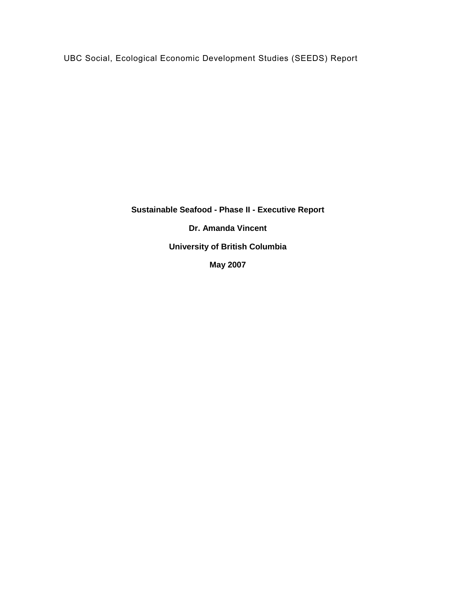UBC Social, Ecological Economic Development Studies (SEEDS) Report

**Sustainable Seafood - Phase II - Executive Report Dr. Amanda Vincent University of British Columbia May 2007**